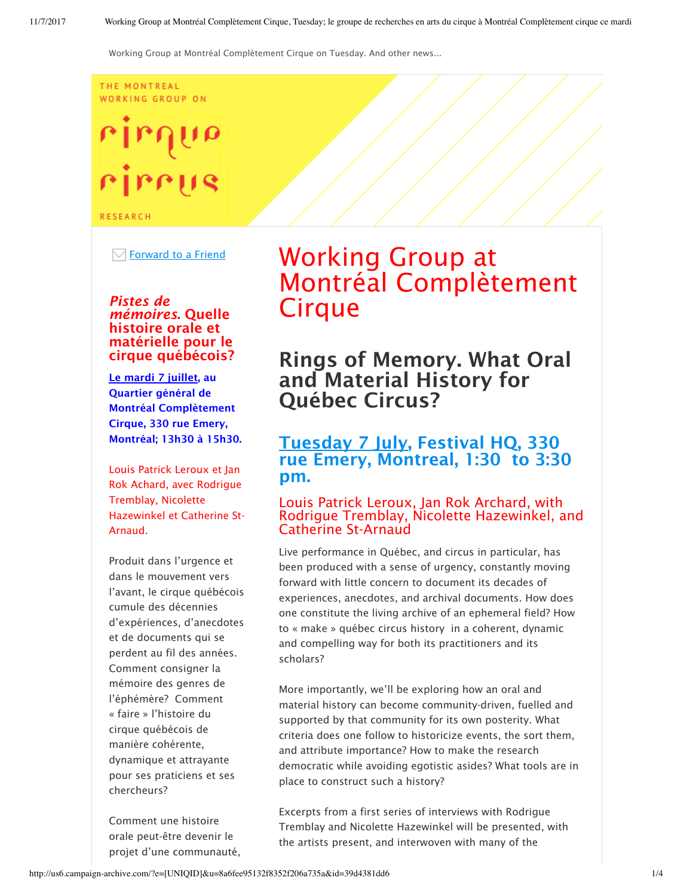#### THE MONTREAL **WORKING GROUP ON**

# rirrus

**RESEARCH** 

 $\boxdot$  Forward to a Friend

#### *Pistes de mémoires*. Quelle histoire orale et matérielle pour le cirque québécois?

Le mardi 7 juillet, au Quartier général de Montréal Complètement Cirque, 330 rue Emery, Montréal; 13h30 à 15h30.

Louis Patrick Leroux et Jan Rok Achard, avec Rodrigue Tremblay, Nicolette Hazewinkel et Catherine St-Arnaud.

Produit dans l'urgence et dans le mouvement vers l'avant, le cirque québécois cumule des décennies d'expériences, d'anecdotes et de documents qui se perdent au fil des années. Comment consigner la mémoire des genres de l'éphémère? Comment « faire » l'histoire du cirque québécois de manière cohérente, dynamique et attrayante pour ses praticiens et ses chercheurs?

Comment une histoire orale peut-être devenir le projet d'une communauté,

# Working Group at Montréal Complètement **Cirque**

# Rings of Memory. What Oral and Material History for Québec Circus?

## Tuesday 7 July, Festival HQ, 330 rue Emery, Montreal, 1:30 to 3:30 pm.

#### Louis Patrick Leroux, Jan Rok Archard, with Rodrigue Tremblay, Nicolette Hazewinkel, and Catherine St-Arnaud

Live performance in Québec, and circus in particular, has been produced with a sense of urgency, constantly moving forward with little concern to document its decades of experiences, anecdotes, and archival documents. How does one constitute the living archive of an ephemeral field? How to « make » québec circus history in a coherent, dynamic and compelling way for both its practitioners and its scholars?

More importantly, we'll be exploring how an oral and material history can become community-driven, fuelled and supported by that community for its own posterity. What criteria does one follow to historicize events, the sort them, and attribute importance? How to make the research democratic while avoiding egotistic asides? What tools are in place to construct such a history?

Excerpts from a first series of interviews with Rodrigue Tremblay and Nicolette Hazewinkel will be presented, with the artists present, and interwoven with many of the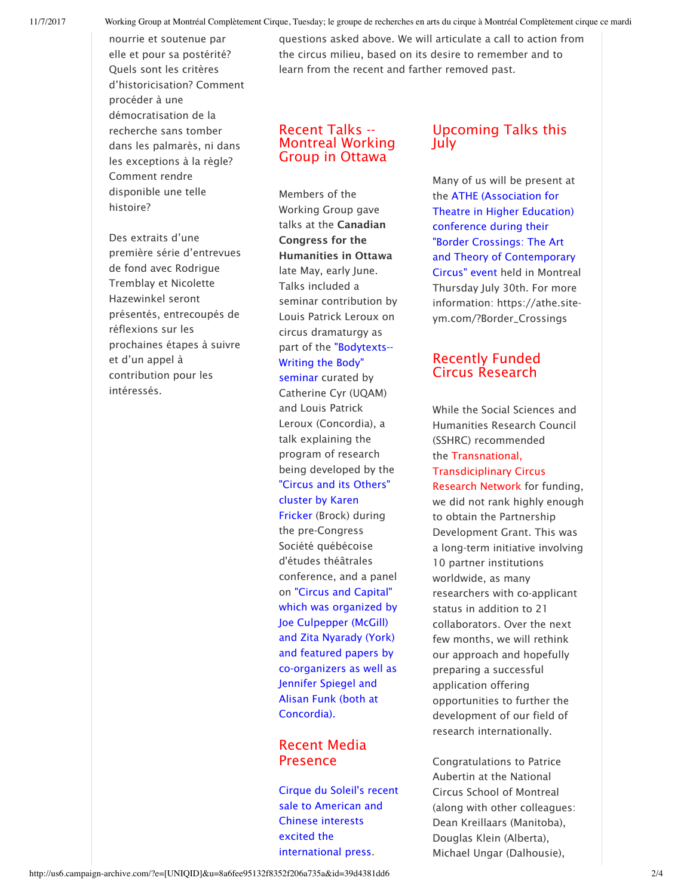nourrie et soutenue par elle et pour sa postérité? Quels sont les critères d'historicisation? Comment procéder à une démocratisation de la recherche sans tomber dans les palmarès, ni dans les exceptions à la règle? Comment rendre disponible une telle histoire?

Des extraits d'une première série d'entrevues de fond avec Rodrigue Tremblay et Nicolette Hazewinkel seront présentés, entrecoupés de réflexions sur les prochaines étapes à suivre et d'un appel à contribution pour les intéressés.

questions asked above. We will articulate a call to action from the circus milieu, based on its desire to remember and to learn from the recent and farther removed past.

#### Recent Talks -- Montreal Working Group in Ottawa

Members of the Working Group gave talks at the Canadian Congress for the Humanities in Ottawa late May, early June. Talks included a seminar contribution by Louis Patrick Leroux on circus dramaturgy as part of the "Bodytexts-- Writing the Body" seminar curated by Catherine Cyr (UQAM) and Louis Patrick Leroux (Concordia), a talk explaining the program of research being developed by the "Circus and its Others" cluster by Karen Fricker (Brock) during the pre-Congress Société québécoise d'études théâtrales conference, and a panel on "Circus and Capital" which was organized by Joe Culpepper (McGill) and Zita Nyarady (York) and featured papers by co-organizers as well as Jennifer Spiegel and Alisan Funk (both at Concordia).

#### Recent Media Presence

Cirque du Soleil's recent sale to American and Chinese interests excited the international press.

## Upcoming Talks this July

Many of us will be present at the ATHE (Association for Theatre in Higher Education) conference during their "Border Crossings: The Art and Theory of Contemporary Circus" event held in Montreal Thursday July 30th. For more information: https://athe.siteym.com/?Border\_Crossings

### Recently Funded Circus Research

While the Social Sciences and Humanities Research Council (SSHRC) recommended the Transnational, Transdiciplinary Circus Research Network for funding, we did not rank highly enough to obtain the Partnership Development Grant. This was a long-term initiative involving 10 partner institutions worldwide, as many researchers with co-applicant status in addition to 21 collaborators. Over the next few months, we will rethink our approach and hopefully preparing a successful application offering opportunities to further the development of our field of research internationally.

Congratulations to Patrice Aubertin at the National Circus School of Montreal (along with other colleagues: Dean Kreillaars (Manitoba), Douglas Klein (Alberta), Michael Ungar (Dalhousie),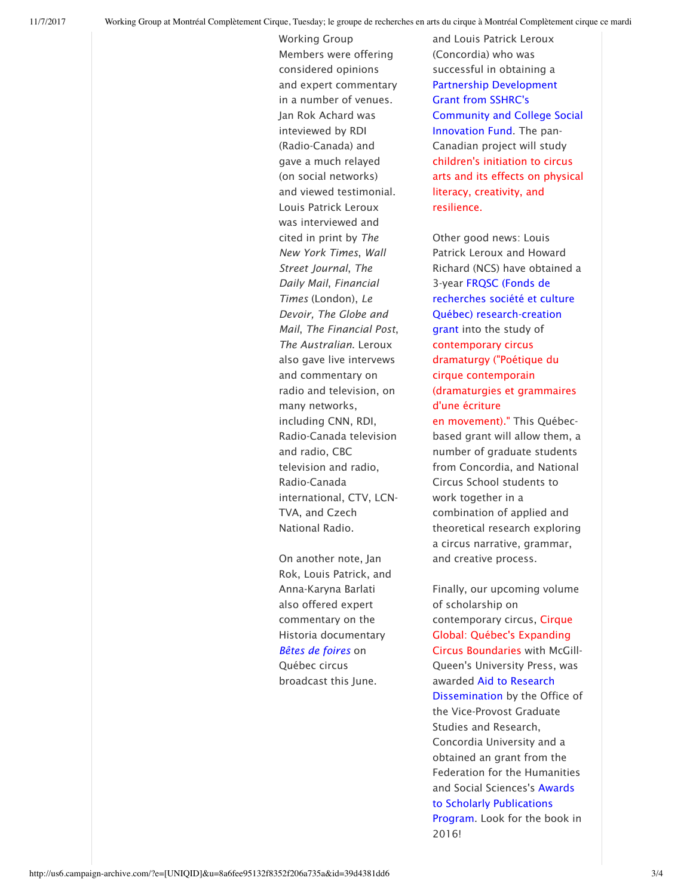Working Group Members were offering considered opinions and expert commentary in a number of venues. Jan Rok Achard was inteviewed by RDI (Radio-Canada) and gave a much relayed (on social networks) and viewed testimonial. Louis Patrick Leroux was interviewed and cited in print by *The New York Times*, *Wall Street Journal*, *The Daily Mail*, *Financial Times* (London), *Le Devoir, The Globe and Mail*, *The Financial Post*, *The Australian*. Leroux also gave live intervews and commentary on radio and television, on many networks, including CNN, RDI, Radio-Canada television and radio, CBC television and radio, Radio-Canada international, CTV, LCN-TVA, and Czech National Radio.

On another note, Jan Rok, Louis Patrick, and Anna-Karyna Barlati also offered expert commentary on the Historia documentary *Bêtes de foires* on Québec circus broadcast this June.

and Louis Patrick Leroux (Concordia) who was successful in obtaining a Partnership Development Grant from SSHRC's Community and College Social Innovation Fund. The pan-Canadian project will study children's initiation to circus arts and its effects on physical literacy, creativity, and resilience.

Other good news: Louis Patrick Leroux and Howard Richard (NCS) have obtained a 3-year FRQSC (Fonds de recherches société et culture Québec) research-creation grant into the study of contemporary circus dramaturgy ("Poétique du cirque contemporain (dramaturgies et grammaires d'une écriture

en movement)." This Québecbased grant will allow them, a number of graduate students from Concordia, and National Circus School students to work together in a combination of applied and theoretical research exploring a circus narrative, grammar, and creative process.

Finally, our upcoming volume of scholarship on contemporary circus, Cirque Global: Québec's Expanding Circus Boundaries with McGill-Queen's University Press, was awarded Aid to Research Dissemination by the Office of the Vice-Provost Graduate Studies and Research, Concordia University and a obtained an grant from the Federation for the Humanities and Social Sciences's Awards to Scholarly Publications Program. Look for the book in 2016!